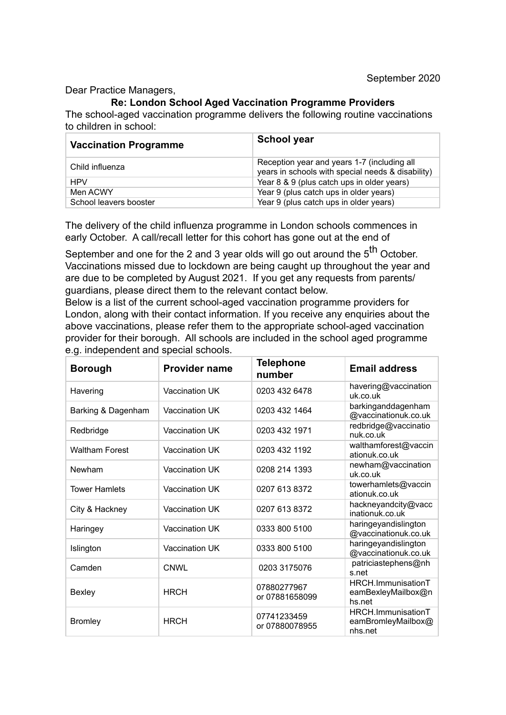Dear Practice Managers,

## **Re: London School Aged Vaccination Programme Providers**

The school-aged vaccination programme delivers the following routine vaccinations to children in school:

| <b>Vaccination Programme</b> | <b>School year</b>                                                                               |
|------------------------------|--------------------------------------------------------------------------------------------------|
| Child influenza              | Reception year and years 1-7 (including all<br>years in schools with special needs & disability) |
| <b>HPV</b>                   | Year 8 & 9 (plus catch ups in older years)                                                       |
| Men ACWY                     | Year 9 (plus catch ups in older years)                                                           |
| School leavers booster       | Year 9 (plus catch ups in older years)                                                           |

The delivery of the child influenza programme in London schools commences in early October. A call/recall letter for this cohort has gone out at the end of

September and one for the 2 and 3 year olds will go out around the  $5<sup>th</sup>$  October. Vaccinations missed due to lockdown are being caught up throughout the year and are due to be completed by August 2021. If you get any requests from parents/ guardians, please direct them to the relevant contact below.

Below is a list of the current school-aged vaccination programme providers for London, along with their contact information. If you receive any enquiries about the above vaccinations, please refer them to the appropriate school-aged vaccination provider for their borough. All schools are included in the school aged programme e.g. independent and special schools.

| <b>Borough</b>        | <b>Provider name</b> | <b>Telephone</b><br>number    | <b>Email address</b>                                |
|-----------------------|----------------------|-------------------------------|-----------------------------------------------------|
| Havering              | Vaccination UK       | 0203 432 6478                 | havering@vaccination<br>uk.co.uk                    |
| Barking & Dagenham    | Vaccination UK       | 0203 432 1464                 | barkinganddagenham<br>@vaccinationuk.co.uk          |
| Redbridge             | Vaccination UK       | 0203 432 1971                 | redbridge@vaccinatio<br>nuk.co.uk                   |
| <b>Waltham Forest</b> | Vaccination UK       | 0203 432 1192                 | walthamforest@vaccin<br>ationuk.co.uk               |
| Newham                | Vaccination UK       | 0208 214 1393                 | newham@vaccination<br>uk.co.uk                      |
| <b>Tower Hamlets</b>  | Vaccination UK       | 0207 613 8372                 | towerhamlets@vaccin<br>ationuk.co.uk                |
| City & Hackney        | Vaccination UK       | 0207 613 8372                 | hackneyandcity@vacc<br>inationuk.co.uk              |
| Haringey              | Vaccination UK       | 0333 800 5100                 | haringeyandislington<br>@vaccinationuk.co.uk        |
| Islington             | Vaccination UK       | 0333 800 5100                 | haringeyandislington<br>@vaccinationuk.co.uk        |
| Camden                | CNWL                 | 0203 3175076                  | patriciastephens@nh<br>s.net                        |
| Bexley                | <b>HRCH</b>          | 07880277967<br>or 07881658099 | HRCH.ImmunisationT<br>eamBexleyMailbox@n<br>hs.net  |
| <b>Bromley</b>        | <b>HRCH</b>          | 07741233459<br>or 07880078955 | HRCH.ImmunisationT<br>eamBromleyMailbox@<br>nhs.net |